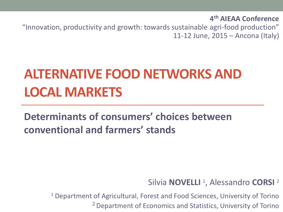**4 th AIEAA Conference**

"Innovation, productivity and growth: towards sustainable agri-food production" 11-12 June, 2015 – Ancona (Italy)

## **ALTERNATIVE FOOD NETWORKS AND LOCAL MARKETS**

**Determinants of consumers' choices between conventional and farmers' stands**

Silvia **NOVELLI** <sup>1</sup> , Alessandro **CORSI** <sup>2</sup>

<sup>1</sup> Department of Agricultural, Forest and Food Sciences, University of Torino <sup>2</sup> Department of Economics and Statistics, University of Torino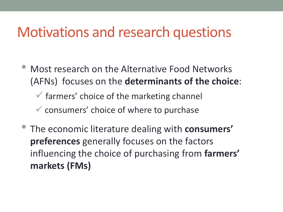#### Motivations and research questions

• Most research on the Alternative Food Networks (AFNs) focuses on the **determinants of the choice**:

 $\checkmark$  farmers' choice of the marketing channel

- $\checkmark$  consumers' choice of where to purchase
- The economic literature dealing with **consumers' preferences** generally focuses on the factors influencing the choice of purchasing from **farmers' markets (FMs)**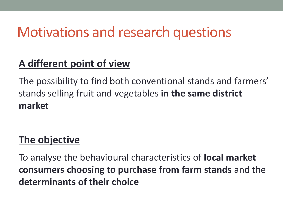### Motivations and research questions

#### **A different point of view**

The possibility to find both conventional stands and farmers' stands selling fruit and vegetables **in the same district market**

#### **The objective**

To analyse the behavioural characteristics of **local market consumers choosing to purchase from farm stands** and the **determinants of their choice**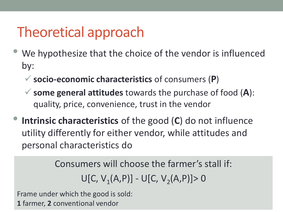## Theoretical approach

- We hypothesize that the choice of the vendor is influenced by:
	- **socio-economic characteristics** of consumers (**P**)
	- **some general attitudes** towards the purchase of food (**A**): quality, price, convenience, trust in the vendor
- **Intrinsic characteristics** of the good (**C**) do not influence utility differently for either vendor, while attitudes and personal characteristics do

Consumers will choose the farmer's stall if:  $U[C, V_1(A, P)] - U[C, V_2(A, P)] > 0$ 

Frame under which the good is sold: **1** farmer, **2** conventional vendor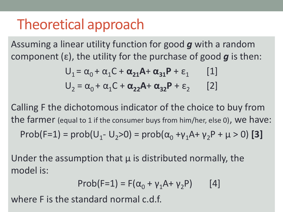### Theoretical approach

Assuming a linear utility function for good *g* with a random component (ε), the utility for the purchase of good *g* is then:

$$
U_1 = \alpha_0 + \alpha_1 C + \alpha_{21} A + \alpha_{31} P + \varepsilon_1
$$
 [1]  

$$
U_2 = \alpha_0 + \alpha_1 C + \alpha_{22} A + \alpha_{32} P + \varepsilon_2
$$
 [2]

Calling F the dichotomous indicator of the choice to buy from the farmer (equal to 1 if the consumer buys from him/her, else 0), we have:  $Prob(F=1) = prob(U_1 - U_2 > 0) = prob(\alpha_0 + \gamma_1 A + \gamma_2 P + \mu > 0)$  [3]

Under the assumption that  $\mu$  is distributed normally, the model is:

$$
Prob(F=1) = F(\alpha_0 + \gamma_1 A + \gamma_2 P) \qquad [4]
$$

where F is the standard normal c.d.f.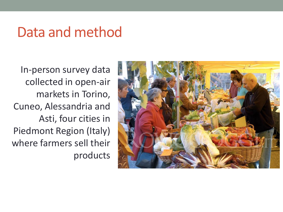In-person survey data collected in open-air markets in Torino, Cuneo, Alessandria and Asti, four cities in Piedmont Region (Italy) where farmers sell their products

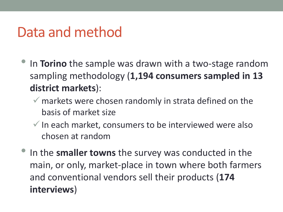- In **Torino** the sample was drawn with a two-stage random sampling methodology (**1,194 consumers sampled in 13 district markets**):
	- $\checkmark$  markets were chosen randomly in strata defined on the basis of market size
	- $\checkmark$  In each market, consumers to be interviewed were also chosen at random
- In the **smaller towns** the survey was conducted in the main, or only, market-place in town where both farmers and conventional vendors sell their products (**174 interviews**)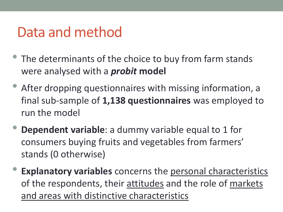- The determinants of the choice to buy from farm stands were analysed with a *probit* **model**
- After dropping questionnaires with missing information, a final sub-sample of **1,138 questionnaires** was employed to run the model
- **Dependent variable**: a dummy variable equal to 1 for consumers buying fruits and vegetables from farmers' stands (0 otherwise)
- **Explanatory variables** concerns the personal characteristics of the respondents, their attitudes and the role of markets and areas with distinctive characteristics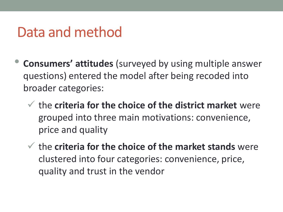- **Consumers' attitudes** (surveyed by using multiple answer questions) entered the model after being recoded into broader categories:
	- the **criteria for the choice of the district market** were grouped into three main motivations: convenience, price and quality
	- the **criteria for the choice of the market stands** were clustered into four categories: convenience, price, quality and trust in the vendor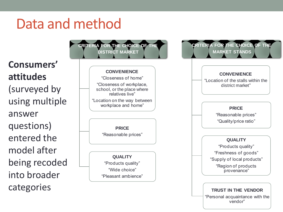**Consumers' attitudes**  (surveyed by using multiple answer questions) entered the model after being recoded into broader

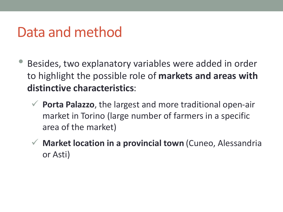- Besides, two explanatory variables were added in order to highlight the possible role of **markets and areas with distinctive characteristics**:
	- **Porta Palazzo**, the largest and more traditional open-air market in Torino (large number of farmers in a specific area of the market)
	- **Market location in a provincial town** (Cuneo, Alessandria or Asti)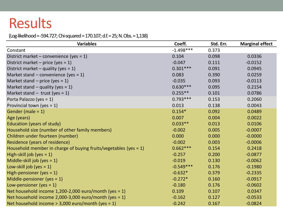#### (Log-likelihood = -594.727; Chi-squared = 170.107; d.f. = 25; N. Obs. = 1,138)

| <b>Variables</b>                                                    | Coeff.      | Std. Err. | <b>Marginal effect</b> |
|---------------------------------------------------------------------|-------------|-----------|------------------------|
| Constant                                                            | $-1.498***$ | 0.373     |                        |
| District market – convenience (yes = $1$ )                          | 0.104       | 0.098     | 0.0336                 |
| District market – price (yes = $1$ )                                | $-0.047$    | 0.111     | $-0.0152$              |
| District market – quality (yes = $1$ )                              | $0.301***$  | 0.091     | 0.0945                 |
| Market stand – convenience (yes = $1$ )                             | 0.083       | 0.390     | 0.0259                 |
| Market stand – price (yes = $1$ )                                   | $-0.035$    | 0.093     | $-0.0113$              |
| Market stand $-$ quality (yes = 1)                                  | $0.630***$  | 0.095     | 0.2154                 |
| Market stand $-$ trust (yes = 1)                                    | $0.255**$   | 0.101     | 0.0786                 |
| Porta Palazzo (yes = $1$ )                                          | $0.793***$  | 0.153     | 0.2060                 |
| Provincial town (yes = $1$ )                                        | 0.013       | 0.138     | 0.0043                 |
| Gender (male = $1$ )                                                | $0.154*$    | 0.092     | 0.0489                 |
| Age (years)                                                         | 0.007       | 0.004     | 0.0022                 |
| Education (years of study)                                          | $0.033**$   | 0.013     | 0.0106                 |
| Household size (number of other family members)                     | $-0.002$    | 0.005     | $-0.0007$              |
| Children under fourteen (number)                                    | 0.000       | 0.000     | $-0.0000$              |
| Residence (years of residence)                                      | $-0.002$    | 0.003     | $-0.0006$              |
| Household member in charge of buying fruits/vegetables (yes $= 1$ ) | $0.662***$  | 0.154     | 0.2418                 |
| High-skill job (yes $= 1$ )                                         | $-0.257$    | 0.200     | $-0.0877$              |
| Middle-skill job (yes $= 1$ )                                       | $-0.019$    | 0.130     | $-0.0062$              |
| Low-skill job (yes $= 1$ )                                          | $-0.549***$ | 0.176     | $-0.1980$              |
| High-pensioner (yes $= 1$ )                                         | $-0.632*$   | 0.379     | $-0.2335$              |
| Middle-pensioner (yes $= 1$ )                                       | $-0.272*$   | 0.160     | $-0.0917$              |
| Low-pensioner (yes = $1$ )                                          | $-0.180$    | 0.176     | $-0.0602$              |
| Net household income $1,200-2,000$ euro/month (yes = 1)             | 0.109       | 0.107     | 0.0347                 |
| Net household income 2,000-3,000 euro/month (yes = 1)               | $-0.162$    | 0.127     | $-0.0533$              |
| Net household income $> 3,000$ euro/month (yes = 1)                 | $-0.242$    | 0.167     | $-0.0824$              |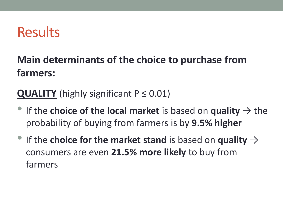#### **Main determinants of the choice to purchase from farmers:**

**QUALITY** (highly significant  $P \le 0.01$ )

- If the **choice of the local market** is based on **quality**  $\rightarrow$  the probability of buying from farmers is by **9.5% higher**
- If the **choice for the market stand** is based on **quality**  $\rightarrow$ consumers are even **21.5% more likely** to buy from farmers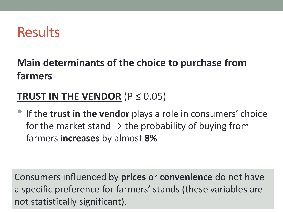#### **Main determinants of the choice to purchase from farmers**

#### **TRUST IN THE VENDOR** (P ≤ 0.05)

• If the **trust in the vendor** plays a role in consumers' choice for the market stand  $\rightarrow$  the probability of buying from farmers **increases** by almost **8%**

Consumers influenced by **prices** or **convenience** do not have a specific preference for farmers' stands (these variables are not statistically significant).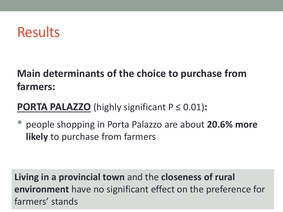#### **Main determinants of the choice to purchase from farmers:**

#### **PORTA PALAZZO** (highly significant P ≤ 0.01)**:**

• people shopping in Porta Palazzo are about **20.6% more likely** to purchase from farmers

**Living in a provincial town** and the **closeness of rural environment** have no significant effect on the preference for farmers' stands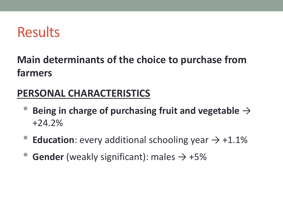#### **Main determinants of the choice to purchase from farmers**

#### **PERSONAL CHARACTERISTICS**

- **Being in charge of purchasing fruit and vegetable** <sup>→</sup> +24.2%
- **Education**: every additional schooling year  $\rightarrow +1.1\%$
- **Gender** (weakly significant): males  $\rightarrow +5\%$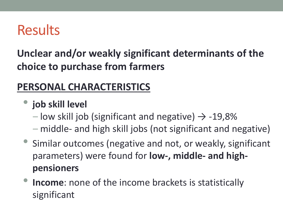**Unclear and/or weakly significant determinants of the choice to purchase from farmers**

#### **PERSONAL CHARACTERISTICS**

• **job skill level**

- $-$  low skill job (significant and negative)  $\rightarrow$  -19,8%
- middle- and high skill jobs (not significant and negative)
- Similar outcomes (negative and not, or weakly, significant parameters) were found for **low-, middle- and highpensioners**
- Income: none of the income brackets is statistically significant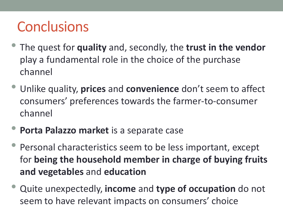### **Conclusions**

- The quest for **quality** and, secondly, the **trust in the vendor**  play a fundamental role in the choice of the purchase channel
- Unlike quality, **prices** and **convenience** don't seem to affect consumers' preferences towards the farmer-to-consumer channel
- **Porta Palazzo market** is a separate case
- Personal characteristics seem to be less important, except for **being the household member in charge of buying fruits and vegetables** and **education**
- Quite unexpectedly, **income** and **type of occupation** do not seem to have relevant impacts on consumers' choice